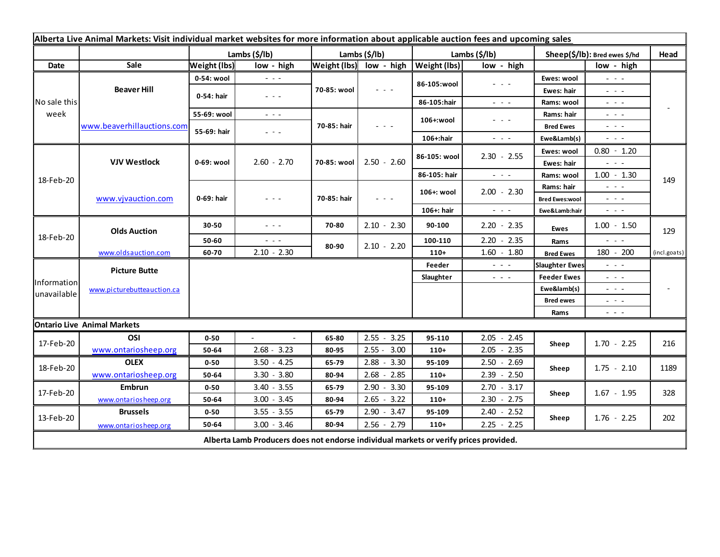| Alberta Live Animal Markets: Visit individual market websites for more information about applicable auction fees and upcoming sales |                                           |                       |                                                                                                                        |               |                         |               |                                                                                                                                                                                                                                                                                                                                                                                                                                                |                               |                                                                                                |              |
|-------------------------------------------------------------------------------------------------------------------------------------|-------------------------------------------|-----------------------|------------------------------------------------------------------------------------------------------------------------|---------------|-------------------------|---------------|------------------------------------------------------------------------------------------------------------------------------------------------------------------------------------------------------------------------------------------------------------------------------------------------------------------------------------------------------------------------------------------------------------------------------------------------|-------------------------------|------------------------------------------------------------------------------------------------|--------------|
|                                                                                                                                     |                                           | Lambs $(\frac{2}{3})$ |                                                                                                                        | Lambs (\$/lb) |                         | Lambs (\$/lb) |                                                                                                                                                                                                                                                                                                                                                                                                                                                | Sheep(\$/lb): Bred ewes \$/hd |                                                                                                | Head         |
| Date                                                                                                                                | Sale                                      | <b>Weight (lbs)</b>   | low - high                                                                                                             |               | Weight (lbs) low - high | Weight (lbs)  | low - high                                                                                                                                                                                                                                                                                                                                                                                                                                     |                               | low - high                                                                                     |              |
| No sale this<br>week                                                                                                                | <b>Beaver Hill</b>                        | 0-54: wool            | $  -$                                                                                                                  | 70-85: wool   | $  -$                   | 86-105:wool   | $\frac{1}{2} \left( \frac{1}{2} \right) + \frac{1}{2} \left( \frac{1}{2} \right) + \frac{1}{2} \left( \frac{1}{2} \right) + \frac{1}{2} \left( \frac{1}{2} \right) + \frac{1}{2} \left( \frac{1}{2} \right) + \frac{1}{2} \left( \frac{1}{2} \right) + \frac{1}{2} \left( \frac{1}{2} \right) + \frac{1}{2} \left( \frac{1}{2} \right) + \frac{1}{2} \left( \frac{1}{2} \right) + \frac{1}{2} \left( \frac{1}{2} \right) + \frac{1}{2} \left($ | Ewes: wool                    | $\omega_{\rm c} \sim \omega_{\rm c}$                                                           |              |
|                                                                                                                                     |                                           | 0-54: hair            | $\frac{1}{2} \left( \frac{1}{2} \right) \frac{1}{2} \left( \frac{1}{2} \right) \frac{1}{2} \left( \frac{1}{2} \right)$ |               |                         |               |                                                                                                                                                                                                                                                                                                                                                                                                                                                | Ewes: hair                    | $  -$                                                                                          |              |
|                                                                                                                                     |                                           |                       |                                                                                                                        |               |                         | 86-105:hair   | $\frac{1}{2} \left( \frac{1}{2} \right) = \frac{1}{2} \left( \frac{1}{2} \right)$                                                                                                                                                                                                                                                                                                                                                              | Rams: wool                    | $  -$                                                                                          |              |
|                                                                                                                                     | www.beaverhillauctions.com                | 55-69: wool           | $\frac{1}{2} \left( \frac{1}{2} \right) \frac{1}{2} \left( \frac{1}{2} \right) \frac{1}{2} \left( \frac{1}{2} \right)$ | 70-85: hair   | - - -                   | 106+:wool     | $  -$                                                                                                                                                                                                                                                                                                                                                                                                                                          | Rams: hair                    | $  -$                                                                                          |              |
|                                                                                                                                     |                                           | 55-69: hair           | - - -                                                                                                                  |               |                         |               |                                                                                                                                                                                                                                                                                                                                                                                                                                                | <b>Bred Ewes</b>              | $  -$                                                                                          |              |
|                                                                                                                                     |                                           |                       |                                                                                                                        |               |                         | 106+:hair     | $  -$                                                                                                                                                                                                                                                                                                                                                                                                                                          | Ewe&Lamb(s)                   | $  -$                                                                                          |              |
| 18-Feb-20                                                                                                                           | <b>VJV Westlock</b><br>www.vjvauction.com | 0-69: wool            | $2.60 - 2.70$                                                                                                          | 70-85: wool   | $2.50 - 2.60$           | 86-105: wool  | $2.30 - 2.55$                                                                                                                                                                                                                                                                                                                                                                                                                                  | Ewes: wool                    | $0.80 - 1.20$                                                                                  |              |
|                                                                                                                                     |                                           |                       |                                                                                                                        |               |                         |               |                                                                                                                                                                                                                                                                                                                                                                                                                                                | Ewes: hair                    | $ -$                                                                                           |              |
|                                                                                                                                     |                                           |                       |                                                                                                                        |               |                         | 86-105: hair  | $\frac{1}{2} \left( \frac{1}{2} \right) \left( \frac{1}{2} \right) \left( \frac{1}{2} \right) \left( \frac{1}{2} \right)$                                                                                                                                                                                                                                                                                                                      | Rams: wool                    | $1.00 - 1.30$                                                                                  | 149          |
|                                                                                                                                     |                                           | 0-69: hair            | - - -                                                                                                                  | 70-85: hair   | $  -$                   | 106+: wool    | $2.00 - 2.30$                                                                                                                                                                                                                                                                                                                                                                                                                                  | Rams: hair                    | $  -$                                                                                          |              |
|                                                                                                                                     |                                           |                       |                                                                                                                        |               |                         |               |                                                                                                                                                                                                                                                                                                                                                                                                                                                | <b>Bred Ewes:wool</b>         | $ -$                                                                                           |              |
| 18-Feb-20                                                                                                                           |                                           |                       |                                                                                                                        |               |                         | 106+: hair    | $  -$                                                                                                                                                                                                                                                                                                                                                                                                                                          | Ewe&Lamb:hair                 | $\frac{1}{2} \left( \frac{1}{2} \right) \left( \frac{1}{2} \right) \left( \frac{1}{2} \right)$ |              |
|                                                                                                                                     | <b>Olds Auction</b>                       | 30-50                 | $\frac{1}{2} \left( \frac{1}{2} \right) = \frac{1}{2} \left( \frac{1}{2} \right)$                                      | 70-80         | $2.10 - 2.30$           | 90-100        | $2.20 - 2.35$                                                                                                                                                                                                                                                                                                                                                                                                                                  | <b>Ewes</b>                   | $1.00 - 1.50$                                                                                  | 129          |
|                                                                                                                                     |                                           | 50-60                 | $\frac{1}{2} \left( \frac{1}{2} \right) \frac{1}{2} \left( \frac{1}{2} \right)$                                        | 80-90         | $2.10 - 2.20$           | 100-110       | $2.20 - 2.35$                                                                                                                                                                                                                                                                                                                                                                                                                                  | Rams                          | $  -$                                                                                          |              |
|                                                                                                                                     | www.oldsauction.com                       | 60-70                 | $2.10 - 2.30$                                                                                                          |               |                         | $110+$        | $1.60 - 1.80$                                                                                                                                                                                                                                                                                                                                                                                                                                  | <b>Bred Ewes</b>              | 180 - 200                                                                                      | (incl.goats) |
| Information<br>unavailable                                                                                                          | <b>Picture Butte</b>                      |                       |                                                                                                                        |               |                         | Feeder        | $  -$                                                                                                                                                                                                                                                                                                                                                                                                                                          | <b>Slaughter Ewes</b>         | $ -$                                                                                           |              |
|                                                                                                                                     | www.picturebutteauction.ca                |                       |                                                                                                                        |               |                         | Slaughter     | $\frac{1}{2} \left( \frac{1}{2} \right) \left( \frac{1}{2} \right) \left( \frac{1}{2} \right)$                                                                                                                                                                                                                                                                                                                                                 | <b>Feeder Ewes</b>            | $  -$                                                                                          |              |
|                                                                                                                                     |                                           |                       |                                                                                                                        |               |                         |               |                                                                                                                                                                                                                                                                                                                                                                                                                                                | Ewe&lamb(s)                   | $\frac{1}{2} \left( \frac{1}{2} \right) = \frac{1}{2} \left( \frac{1}{2} \right)$              |              |
|                                                                                                                                     |                                           |                       |                                                                                                                        |               |                         |               |                                                                                                                                                                                                                                                                                                                                                                                                                                                | <b>Bred ewes</b>              | $ -$                                                                                           |              |
|                                                                                                                                     |                                           |                       |                                                                                                                        |               |                         |               |                                                                                                                                                                                                                                                                                                                                                                                                                                                | Rams                          | - - -                                                                                          |              |
|                                                                                                                                     | <b>Ontario Live Animal Markets</b>        |                       |                                                                                                                        |               |                         |               |                                                                                                                                                                                                                                                                                                                                                                                                                                                |                               |                                                                                                |              |
| 17-Feb-20                                                                                                                           | OSI                                       | $0 - 50$              |                                                                                                                        | 65-80         | $2.55 - 3.25$           | 95-110        | $2.05 - 2.45$                                                                                                                                                                                                                                                                                                                                                                                                                                  | Sheep                         | $1.70 - 2.25$                                                                                  | 216          |
|                                                                                                                                     | www.ontariosheep.org                      | 50-64                 | $2.68 - 3.23$                                                                                                          | 80-95         | $2.55 - 3.00$           | $110+$        | $2.05 - 2.35$                                                                                                                                                                                                                                                                                                                                                                                                                                  |                               |                                                                                                |              |
| 18-Feb-20                                                                                                                           | <b>OLEX</b>                               | $0 - 50$              | $3.50 - 4.25$                                                                                                          | 65-79         | $2.88 - 3.30$           | 95-109        | $2.50 - 2.69$                                                                                                                                                                                                                                                                                                                                                                                                                                  | Sheep                         | $1.75 - 2.10$                                                                                  | 1189         |
|                                                                                                                                     | www.ontariosheep.org                      | 50-64                 | $3.30 - 3.80$                                                                                                          | 80-94         | $2.68 - 2.85$           | $110+$        | $2.39 - 2.50$                                                                                                                                                                                                                                                                                                                                                                                                                                  |                               |                                                                                                |              |
| 17-Feb-20                                                                                                                           | <b>Embrun</b>                             | $0 - 50$              | $3.40 - 3.55$                                                                                                          | 65-79         | $2.90 - 3.30$           | 95-109        | $2.70 - 3.17$                                                                                                                                                                                                                                                                                                                                                                                                                                  | Sheep                         | $1.67 - 1.95$                                                                                  | 328          |
|                                                                                                                                     | www.ontariosheep.org                      | 50-64                 | $3.00 - 3.45$                                                                                                          | 80-94         | $2.65 - 3.22$           | $110+$        | $2.30 - 2.75$                                                                                                                                                                                                                                                                                                                                                                                                                                  |                               |                                                                                                |              |
| 13-Feb-20                                                                                                                           | <b>Brussels</b>                           | $0 - 50$              | $3.55 - 3.55$                                                                                                          | 65-79         | $2.90 - 3.47$           | 95-109        | $2.40 - 2.52$                                                                                                                                                                                                                                                                                                                                                                                                                                  | Sheep                         | $1.76 - 2.25$                                                                                  | 202          |
|                                                                                                                                     | www.ontariosheep.org                      | 50-64                 | $3.00 - 3.46$                                                                                                          | 80-94         | $2.56 - 2.79$           | $110+$        | $2.25 - 2.25$                                                                                                                                                                                                                                                                                                                                                                                                                                  |                               |                                                                                                |              |
| Alberta Lamb Producers does not endorse individual markets or verify prices provided.                                               |                                           |                       |                                                                                                                        |               |                         |               |                                                                                                                                                                                                                                                                                                                                                                                                                                                |                               |                                                                                                |              |